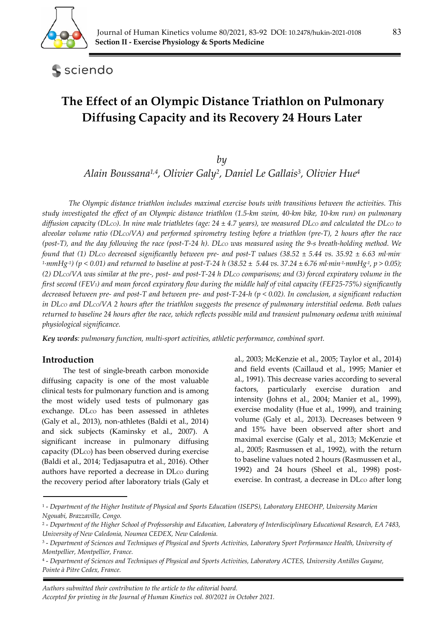

sciendo

# **The Effect of an Olympic Distance Triathlon on Pulmonary Diffusing Capacity and its Recovery 24 Hours Later**

*by* 

*Alain Boussana1,4, Olivier Galy2, Daniel Le Gallais3, Olivier Hue4*

*The Olympic distance triathlon includes maximal exercise bouts with transitions between the activities. This study investigated the effect of an Olympic distance triathlon (1.5-km swim, 40-km bike, 10-km run) on pulmonary diffusion capacity (DLCO). In nine male triathletes (age: 24 ± 4.7 years), we measured DLCO and calculated the DLCO to alveolar volume ratio (DLCO/VA) and performed spirometry testing before a triathlon (pre-T), 2 hours after the race (post-T), and the day following the race (post-T-24 h). DLCO was measured using the 9-s breath-holding method. We found that (1) DLCO decreased significantly between pre- and post-T values (38.52 ± 5.44 vs. 35.92 ± 6.63 ml∙min-<sup>1</sup>∙mmHg-1) (p < 0.01) and returned to baseline at post-T-24 h (38.52 ± 5.44 vs. 37.24 ± 6.76 ml∙min-1∙mmHg-1, p > 0.05);*  (2) DLco/VA was similar at the pre-, post- and post-T-24 h DLco comparisons; and (3) forced expiratory volume in the *first second (FEV1) and mean forced expiratory flow during the middle half of vital capacity (FEF25-75%) significantly decreased between pre- and post-T and between pre- and post-T-24-h (p < 0.02). In conclusion, a significant reduction in DLco and DLco/VA 2 hours after the triathlon suggests the presence of pulmonary interstitial oedema. Both values returned to baseline 24 hours after the race, which reflects possible mild and transient pulmonary oedema with minimal physiological significance.* 

*Key words: pulmonary function, multi-sport activities, athletic performance, combined sport.* 

#### **Introduction**

The test of single-breath carbon monoxide diffusing capacity is one of the most valuable clinical tests for pulmonary function and is among the most widely used tests of pulmonary gas exchange. DLco has been assessed in athletes (Galy et al., 2013), non-athletes (Baldi et al., 2014) and sick subjects (Kaminsky et al., 2007). A significant increase in pulmonary diffusing capacity (DLco) has been observed during exercise (Baldi et al., 2014; Tedjasaputra et al., 2016). Other authors have reported a decrease in DLco during the recovery period after laboratory trials (Galy et al., 2003; McKenzie et al., 2005; Taylor et al., 2014) and field events (Caillaud et al., 1995; Manier et al., 1991). This decrease varies according to several factors, particularly exercise duration and intensity (Johns et al., 2004; Manier et al., 1999), exercise modality (Hue et al., 1999), and training volume (Galy et al., 2013). Decreases between 9 and 15% have been observed after short and maximal exercise (Galy et al., 2013; McKenzie et al., 2005; Rasmussen et al., 1992), with the return to baseline values noted 2 hours (Rasmussen et al., 1992) and 24 hours (Sheel et al., 1998) postexercise. In contrast, a decrease in DLco after long

*Authors submitted their contribution to the article to the editorial board. Accepted for printing in the Journal of Human Kinetics vol. 80/2021 in October 2021.* 

<sup>1 -</sup> *Department of the Higher Institute of Physical and Sports Education (ISEPS), Laboratory EHEOHP, University Marien Ngouabi, Brazzaville, Congo.* 

<sup>2 -</sup> *Department of the Higher School of Professorship and Education, Laboratory of Interdisciplinary Educational Research, EA 7483, University of New Caledonia, Noumea CEDEX, New Caledonia.* 

<sup>3 -</sup> *Department of Sciences and Techniques of Physical and Sports Activities, Laboratory Sport Performance Health, University of Montpellier, Montpellier, France.* 

<sup>4 -</sup> *Department of Sciences and Techniques of Physical and Sports Activities, Laboratory ACTES, University Antilles Guyane, Pointe à Pitre Cedex, France.*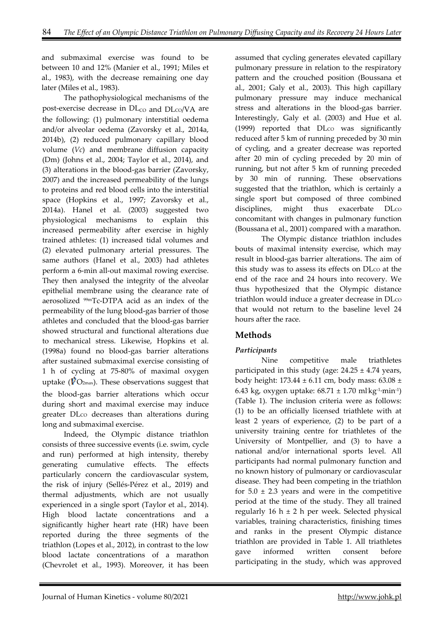and submaximal exercise was found to be between 10 and 12% (Manier et al., 1991; Miles et al., 1983), with the decrease remaining one day later (Miles et al., 1983).

The pathophysiological mechanisms of the post-exercise decrease in  $DL_{CO}$  and  $DL_{CO}/VA$  are the following: (1) pulmonary interstitial oedema and/or alveolar oedema (Zavorsky et al., 2014a, 2014b), (2) reduced pulmonary capillary blood volume (*Vc*) and membrane diffusion capacity (Dm) (Johns et al., 2004; Taylor et al., 2014), and (3) alterations in the blood-gas barrier (Zavorsky, 2007) and the increased permeability of the lungs to proteins and red blood cells into the interstitial space (Hopkins et al., 1997; Zavorsky et al., 2014a). Hanel et al. (2003) suggested two physiological mechanisms to explain this increased permeability after exercise in highly trained athletes: (1) increased tidal volumes and (2) elevated pulmonary arterial pressures. The same authors (Hanel et al., 2003) had athletes perform a 6-min all-out maximal rowing exercise. They then analysed the integrity of the alveolar epithelial membrane using the clearance rate of aerosolized 99mTc-DTPA acid as an index of the permeability of the lung blood-gas barrier of those athletes and concluded that the blood-gas barrier showed structural and functional alterations due to mechanical stress. Likewise, Hopkins et al. (1998a) found no blood-gas barrier alterations after sustained submaximal exercise consisting of 1 h of cycling at 75-80% of maximal oxygen uptake ( $\dot{V}O_{2\text{max}}$ ). These observations suggest that the blood-gas barrier alterations which occur during short and maximal exercise may induce greater DLco decreases than alterations during long and submaximal exercise.

Indeed, the Olympic distance triathlon consists of three successive events (i.e. swim, cycle and run) performed at high intensity, thereby generating cumulative effects. The effects particularly concern the cardiovascular system, the risk of injury (Sellés-Pérez et al., 2019) and thermal adjustments, which are not usually experienced in a single sport (Taylor et al., 2014). High blood lactate concentrations and a significantly higher heart rate (HR) have been reported during the three segments of the triathlon (Lopes et al., 2012), in contrast to the low blood lactate concentrations of a marathon (Chevrolet et al., 1993). Moreover, it has been

assumed that cycling generates elevated capillary pulmonary pressure in relation to the respiratory pattern and the crouched position (Boussana et al., 2001; Galy et al., 2003). This high capillary pulmonary pressure may induce mechanical stress and alterations in the blood-gas barrier. Interestingly, Galy et al. (2003) and Hue et al. (1999) reported that DLco was significantly reduced after 5 km of running preceded by 30 min of cycling, and a greater decrease was reported after 20 min of cycling preceded by 20 min of running, but not after 5 km of running preceded by 30 min of running. These observations suggested that the triathlon, which is certainly a single sport but composed of three combined disciplines, might thus exacerbate DLco concomitant with changes in pulmonary function (Boussana et al., 2001) compared with a marathon.

The Olympic distance triathlon includes bouts of maximal intensity exercise, which may result in blood-gas barrier alterations. The aim of this study was to assess its effects on DLco at the end of the race and 24 hours into recovery. We thus hypothesized that the Olympic distance triathlon would induce a greater decrease in DLco that would not return to the baseline level 24 hours after the race.

# **Methods**

# *Participants*

Nine competitive male triathletes participated in this study (age:  $24.25 \pm 4.74$  years, body height:  $173.44 \pm 6.11$  cm, body mass:  $63.08 \pm 1.0$ 6.43 kg, oxygen uptake: 68.71 ± 1.70 ml<sup>∙</sup> kg-1∙min-1) (Table 1). The inclusion criteria were as follows: (1) to be an officially licensed triathlete with at least 2 years of experience, (2) to be part of a university training centre for triathletes of the University of Montpellier, and (3) to have a national and/or international sports level. All participants had normal pulmonary function and no known history of pulmonary or cardiovascular disease. They had been competing in the triathlon for  $5.0 \pm 2.3$  years and were in the competitive period at the time of the study. They all trained regularly 16 h  $\pm$  2 h per week. Selected physical variables, training characteristics, finishing times and ranks in the present Olympic distance triathlon are provided in Table 1. All triathletes gave informed written consent before participating in the study, which was approved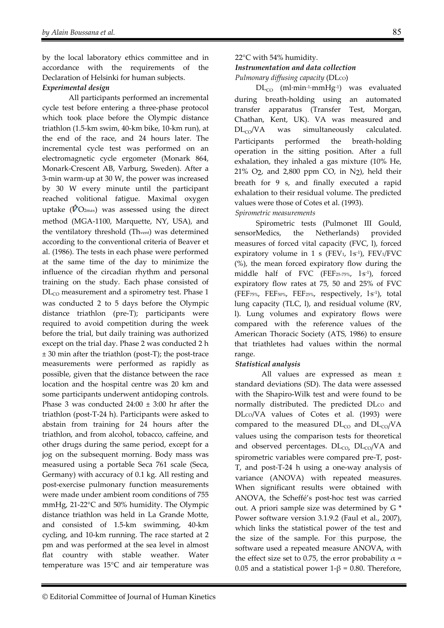by the local laboratory ethics committee and in accordance with the requirements of the Declaration of Helsinki for human subjects.

#### *Experimental design*

All participants performed an incremental cycle test before entering a three-phase protocol which took place before the Olympic distance triathlon (1.5-km swim, 40-km bike, 10-km run), at the end of the race, and 24 hours later. The incremental cycle test was performed on an electromagnetic cycle ergometer (Monark 864, Monark-Crescent AB, Varburg, Sweden). After a 3-min warm-up at 30 W, the power was increased by 30 W every minute until the participant reached volitional fatigue. Maximal oxygen uptake ( $\dot{V}O_{2\text{max}}$ ) was assessed using the direct method (MGA-1100, Marquette, NY, USA), and the ventilatory threshold (Thvent) was determined according to the conventional criteria of Beaver et al. (1986). The tests in each phase were performed at the same time of the day to minimize the influence of the circadian rhythm and personal training on the study. Each phase consisted of  $DL<sub>CO</sub>$  measurement and a spirometry test. Phase 1 was conducted 2 to 5 days before the Olympic distance triathlon (pre-T); participants were required to avoid competition during the week before the trial, but daily training was authorized except on the trial day. Phase 2 was conducted 2 h ± 30 min after the triathlon (post-T); the post-trace measurements were performed as rapidly as possible, given that the distance between the race location and the hospital centre was 20 km and some participants underwent antidoping controls. Phase 3 was conducted  $24:00 \pm 3:00$  hr after the triathlon (post-T-24 h). Participants were asked to abstain from training for 24 hours after the triathlon, and from alcohol, tobacco, caffeine, and other drugs during the same period, except for a jog on the subsequent morning. Body mass was measured using a portable Seca 761 scale (Seca, Germany) with accuracy of 0.1 kg. All resting and post-exercise pulmonary function measurements were made under ambient room conditions of 755 mmHg, 21-22°C and 50% humidity. The Olympic distance triathlon was held in La Grande Motte, and consisted of 1.5-km swimming, 40-km cycling, and 10-km running. The race started at 2 pm and was performed at the sea level in almost flat country with stable weather. Water temperature was 15°C and air temperature was

## 22°C with 54% humidity. *Instrumentation and data collection*

*Pulmonary diffusing capacity* (DLco)

DL<sub>CO</sub> (ml⋅min-1⋅mmHg-1) was evaluated during breath-holding using an automated transfer apparatus (Transfer Test, Morgan, Chathan, Kent, UK). VA was measured and  $DL_{CO}/VA$  was simultaneously calculated. Participants performed the breath-holding operation in the sitting position. After a full exhalation, they inhaled a gas mixture (10% He,  $21\%$  O<sub>2</sub>, and 2,800 ppm CO, in N<sub>2</sub>), held their breath for 9 s, and finally executed a rapid exhalation to their residual volume. The predicted values were those of Cotes et al. (1993).

#### *Spirometric measurements*

Spirometric tests (Pulmonet III Gould, sensorMedics, the Netherlands) provided measures of forced vital capacity (FVC, l), forced expiratory volume in 1 s (FEV1,  $1s^{-1}$ ), FEV1/FVC (%), the mean forced expiratory flow during the middle half of FVC (FEF25-75%, l<sup>s-1</sup>), forced expiratory flow rates at 75, 50 and 25% of FVC (FEF75%, FEF50%, FEF25%, respectively, l. s-1), total lung capacity (TLC, l), and residual volume (RV, l). Lung volumes and expiratory flows were compared with the reference values of the American Thoracic Society (ATS, 1986) to ensure that triathletes had values within the normal range.

## *Statistical analysis*

 All values are expressed as mean ± standard deviations (SD). The data were assessed with the Shapiro-Wilk test and were found to be normally distributed. The predicted DLco and DLco/VA values of Cotes et al. (1993) were compared to the measured  $DL_{CO}$  and  $DL_{CO}/VA$ values using the comparison tests for theoretical and observed percentages.  $DL_{CO}$ ,  $DL_{CO}/VA$  and spirometric variables were compared pre-T, post-T, and post-T-24 h using a one-way analysis of variance (ANOVA) with repeated measures. When significant results were obtained with ANOVA, the Scheffé's post-hoc test was carried out. A priori sample size was determined by G \* Power software version 3.1.9.2 (Faul et al., 2007), which links the statistical power of the test and the size of the sample. For this purpose, the software used a repeated measure ANOVA, with the effect size set to 0.75, the error probability  $\alpha$  = 0.05 and a statistical power 1-β = 0.80. Therefore,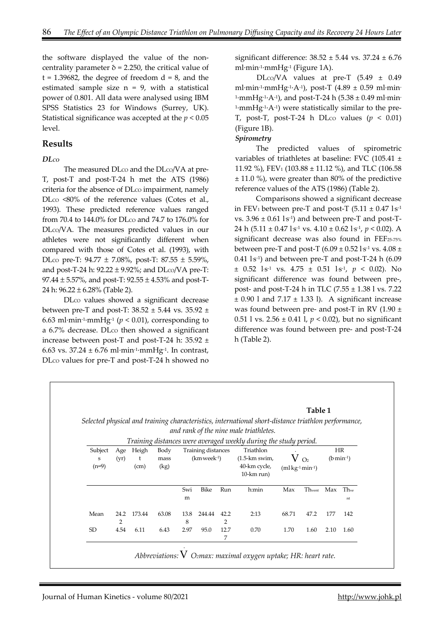the software displayed the value of the noncentrality parameter  $\delta$  = 2.250, the critical value of  $t = 1.39682$ , the degree of freedom  $d = 8$ , and the estimated sample size  $n = 9$ , with a statistical power of 0.801. All data were analysed using IBM SPSS Statistics 23 for Windows (Surrey, UK). Statistical significance was accepted at the *p* < 0.05 level.

#### **Results**

#### *DLCO*

The measured  $DLco$  and the  $DLco/VA$  at pre-T, post-T and post-T-24 h met the ATS (1986) criteria for the absence of DL $\infty$  impairment, namely DLco <80% of the reference values (Cotes et al., 1993). These predicted reference values ranged from 70.4 to 144.0% for DLco and 74.7 to 176.0% for DLco/VA. The measures predicted values in our athletes were not significantly different when compared with those of Cotes et al. (1993), with DLCO pre-T: 94.77 ± 7.08%, post-T: 87.55 ± 5.59%, and post-T-24 h:  $92.22 \pm 9.92\%$ ; and DLco/VA pre-T: 97.44  $\pm$  5.57%, and post-T: 92.55  $\pm$  4.53% and post-T-24 h: 96.22 ± 6.28% (Table 2).

DLco values showed a significant decrease between pre-T and post-T:  $38.52 \pm 5.44$  vs.  $35.92 \pm$ 6.63 ml∙min-1∙mmHg-1 (*p* < 0.01), corresponding to a 6.7% decrease. DLco then showed a significant increase between post-T and post-T-24 h: 35.92 ± 6.63 vs. 37.24 ± 6.76 ml∙min-1∙mmHg-1. In contrast, DLCO values for pre-T and post-T-24 h showed no

significant difference: 38.52 ± 5.44 vs. 37.24 ± 6.76 ml∙min-1∙mmHg-1 (Figure 1A).

DLCO/VA values at pre-T (5.49 ± 0.49 ml∙min-1∙mmHg-1∙A-1), post-T (4.89 ± 0.59 ml∙min- $1$ ⋅mmHg<sup>-1</sup>⋅A<sup>-1</sup>), and post-T-24 h (5.38 ± 0.49 ml⋅min-1∙mmHg-1∙A-1) were statistically similar to the pre-T, post-T, post-T-24 h DLco values  $(p < 0.01)$ (Figure 1B).

#### *Spirometry*

The predicted values of spirometric variables of triathletes at baseline: FVC (105.41 ± 11.92 %), FEV<sub>1</sub> (103.88  $\pm$  11.12 %), and TLC (106.58 ± 11.0 %), were greater than 80% of the predictive reference values of the ATS (1986) (Table 2).

Comparisons showed a significant decrease in FEV<sub>1</sub> between pre-T and post-T  $(5.11 \pm 0.47 \text{ l}\text{s}^{-1})$ vs.  $3.96 \pm 0.61$  ls<sup>-1</sup>) and between pre-T and post-T-24 h (5.11 ± 0.47 l·s<sup>-1</sup> vs. 4.10 ± 0.62 l·s<sup>-1</sup>, *p* < 0.02). A significant decrease was also found in FEF25-75% between pre-T and post-T (6.09  $\pm$  0.52 l·s<sup>-1</sup> vs. 4.08  $\pm$  $0.41$  l $\mathrm{s}$ <sup>-1</sup>) and between pre-T and post-T-24 h  $(6.09)$  $\pm$  0.52 l<sup>s-1</sup> vs. 4.75  $\pm$  0.51 ls<sup>-1</sup>,  $p$  < 0.02). No significant difference was found between pre-, post- and post-T-24 h in TLC (7.55 ± 1.38 l vs. 7.22  $\pm$  0.90 l and 7.17  $\pm$  1.33 l). A significant increase was found between pre- and post-T in RV  $(1.90 \pm$ 0.51 l vs. 2.56 ± 0.41 l, *p* < 0.02), but no significant difference was found between pre- and post-T-24 h (Table 2).

|                         |             |                          |              |           |                                        |           | and rank of the nine male triathletes.                           |                                  |           |      |                   |
|-------------------------|-------------|--------------------------|--------------|-----------|----------------------------------------|-----------|------------------------------------------------------------------|----------------------------------|-----------|------|-------------------|
|                         |             |                          |              |           |                                        |           | Training distances were averaged weekly during the study period. |                                  |           |      |                   |
| Subject<br>S<br>$(n=9)$ | Age<br>(vr) | Heigh<br>t<br>$\rm (cm)$ | Body<br>mass |           | Training distances<br>$(km$ week $-1)$ |           | Triathlon<br>$(1.5 - km)$ swim,<br>40-km cycle,                  |                                  | $V_{Q_2}$ |      | HR<br>$(b·min-1)$ |
|                         |             |                          | (kg)         |           |                                        |           | $10$ -km run)                                                    | $(ml \, kg^{-1} \cdot min^{-1})$ |           |      |                   |
|                         |             |                          |              | Swi       | Bike                                   | Run       | h:min                                                            | Max                              | Thvent    | Max  | Th <sub>ve</sub>  |
|                         |             |                          |              | m         |                                        |           |                                                                  |                                  |           |      | nt                |
| Mean                    | 24.2<br>2   | 173.44                   | 63.08        | 13.8<br>8 | 244.44                                 | 42.2<br>2 | 2:13                                                             | 68.71                            | 47.2      | 177  | 142               |
| SD.                     | 4.54        | 6.11                     | 6.43         | 2.97      | 95.0                                   | 12.7<br>7 | 0.70                                                             | 1.70                             | 1.60      | 2.10 | 1.60              |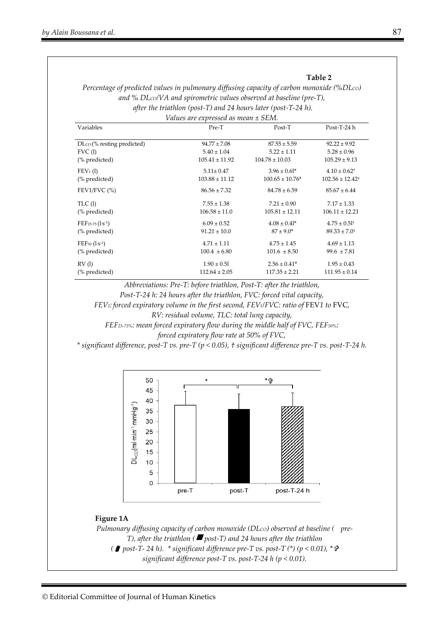#### **Table 2**

*Percentage of predicted values in pulmonary diffusing capacity of carbon monoxide (%DLCO) and % DLCO/VA and spirometric values observed at baseline (pre-T), after the triathlon (post-T) and 24 hours later (post-T-24 h).* 

| Values are expressed as mean ± SEM. |                    |                     |                              |  |  |  |  |  |  |
|-------------------------------------|--------------------|---------------------|------------------------------|--|--|--|--|--|--|
| Variables                           | Pre-T              | Post-T              | Post-T-24 h                  |  |  |  |  |  |  |
| $DCO(\%$ resting predicted)         | $94.77 \pm 7.08$   | $87.55 \pm 5.59$    | $92.22 \pm 9.92$             |  |  |  |  |  |  |
| FVC(1)                              | $5.40 \pm 1.04$    | $5.22 \pm 1.11$     | $5.28 \pm 0.96$              |  |  |  |  |  |  |
| (% predicted)                       | $105.41 \pm 11.92$ | $104.78 \pm 10.03$  | $105.29 \pm 9.13$            |  |  |  |  |  |  |
| $FEV1$ (1)                          | $5.11 \pm 0.47$    | $3.96 \pm 0.61^*$   | $4.10 \pm 0.62$ <sup>+</sup> |  |  |  |  |  |  |
| (% predicted)                       | $103.88 \pm 11.12$ | $100.65 \pm 10.76*$ | $102.56 \pm 12.42^+$         |  |  |  |  |  |  |
| FEV1/FVC $(\% )$                    | $86.56 \pm 7.32$   | $84.78 \pm 6.59$    | $85.67 \pm 6.44$             |  |  |  |  |  |  |
| TLC(1)                              | $7.55 \pm 1.38$    | $7.21 \pm 0.90$     | $7.17 \pm 1.33$              |  |  |  |  |  |  |
| (% predicted)                       | $106.58 \pm 11.0$  | $105.81 \pm 12.11$  | $106.11 \pm 12.21$           |  |  |  |  |  |  |
| $FEF_{25-75}$ $(l \cdot S^{-1})$    | $6.09 \pm 0.52$    | $4.08 \pm 0.41^*$   | $4.75 \pm 0.51$ <sup>+</sup> |  |  |  |  |  |  |
| (% predicted)                       | $91.21 \pm 10.0$   | $87 \pm 9.0^*$      | $89.33 \pm 7.0$ <sup>+</sup> |  |  |  |  |  |  |
| $FEF_{50}$ $(l \cdot s^{-1})$       | $4.71 \pm 1.11$    | $4.75 \pm 1.45$     | $4.69 \pm 1.13$              |  |  |  |  |  |  |
| (% predicted)                       | $100.4 \pm 6.80$   | $101.6 \pm 8.50$    | $99.6 \pm 7.81$              |  |  |  |  |  |  |
| RV(1)                               | $1.90 \pm 0.51$    | $2.56 \pm 0.41*$    | $1.95 \pm 0.43$              |  |  |  |  |  |  |
| (% predicted)                       | $112.64 \pm 2.05$  | $117.35 \pm 2.21$   | $111.95 \pm 0.14$            |  |  |  |  |  |  |
|                                     |                    |                     |                              |  |  |  |  |  |  |

*Abbreviations: Pre-T: before triathlon, Post-T: after the triathlon,* 

*Post-T-24 h: 24 hours after the triathlon, FVC: forced vital capacity,* 

*FEV<sub>1</sub>: forced expiratory volume in the first second, FEV<sub>1</sub>/FVC: ratio of FEV1 to FVC,* 

*RV: residual volume, TLC: total lung capacity,* 

*FEF25-75%: mean forced expiratory flow during the middle half of FVC, FEF50%:* 

*forced expiratory flow rate at 50% of FVC,* 

*\* significant difference, post-T vs. pre-T (p < 0.05), † significant difference pre-T vs. post-T-24 h.*



#### **Figure 1A**

*Pulmonary diffusing capacity of carbon monoxide (DLCO) observed at baseline ( pre-T), after the triathlon ( post-T) and 24 hours after the triathlon ( post-T- 24 h). \* significant difference pre-T vs. post-T (\*) (p < 0.01), \* significant difference post-T vs. post-T-24 h (p < 0.01).*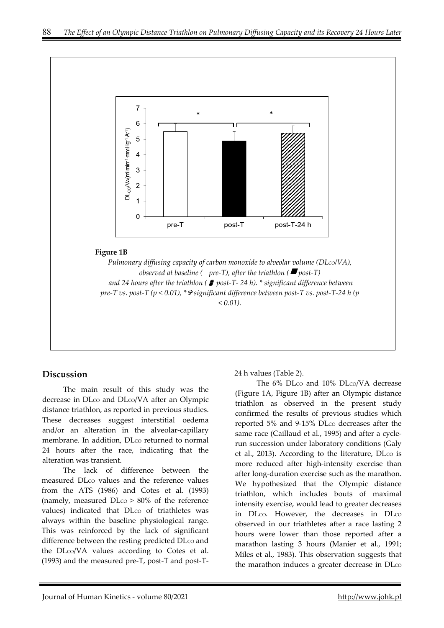

## **Discussion**

The main result of this study was the decrease in DLco and DLco/VA after an Olympic distance triathlon, as reported in previous studies. These decreases suggest interstitial oedema and/or an alteration in the alveolar-capillary membrane. In addition, DLco returned to normal 24 hours after the race, indicating that the alteration was transient.

The lack of difference between the measured DL<sub>co</sub> values and the reference values from the ATS (1986) and Cotes et al. (1993) (namely, measured  $D<sub>CO</sub> > 80%$  of the reference values) indicated that DLco of triathletes was always within the baseline physiological range. This was reinforced by the lack of significant difference between the resting predicted DLco and the DLco/VA values according to Cotes et al. (1993) and the measured pre-T, post-T and post-T-

24 h values (Table 2).

The 6% DLco and 10% DLco/VA decrease (Figure 1A, Figure 1B) after an Olympic distance triathlon as observed in the present study confirmed the results of previous studies which reported 5% and 9-15% DLco decreases after the same race (Caillaud et al., 1995) and after a cyclerun succession under laboratory conditions (Galy et al., 2013). According to the literature, DLco is more reduced after high-intensity exercise than after long-duration exercise such as the marathon. We hypothesized that the Olympic distance triathlon, which includes bouts of maximal intensity exercise, would lead to greater decreases in DLco. However, the decreases in DLco observed in our triathletes after a race lasting 2 hours were lower than those reported after a marathon lasting 3 hours (Manier et al., 1991; Miles et al., 1983). This observation suggests that the marathon induces a greater decrease in DL $\infty$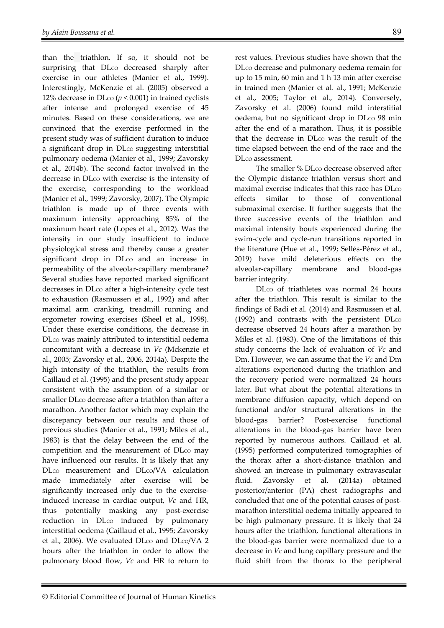than the triathlon. If so, it should not be surprising that DLco decreased sharply after exercise in our athletes (Manier et al., 1999). Interestingly, McKenzie et al. (2005) observed a 12% decrease in DL $\cos(p < 0.001)$  in trained cyclists after intense and prolonged exercise of 45 minutes. Based on these considerations, we are convinced that the exercise performed in the present study was of sufficient duration to induce a significant drop in DL $\infty$  suggesting interstitial pulmonary oedema (Manier et al., 1999; Zavorsky et al., 2014b). The second factor involved in the decrease in DL $\infty$  with exercise is the intensity of the exercise, corresponding to the workload (Manier et al., 1999; Zavorsky, 2007). The Olympic triathlon is made up of three events with maximum intensity approaching 85% of the maximum heart rate (Lopes et al., 2012). Was the intensity in our study insufficient to induce physiological stress and thereby cause a greater significant drop in DLco and an increase in permeability of the alveolar-capillary membrane? Several studies have reported marked significant decreases in DLco after a high-intensity cycle test to exhaustion (Rasmussen et al., 1992) and after maximal arm cranking, treadmill running and ergometer rowing exercises (Sheel et al., 1998). Under these exercise conditions, the decrease in DL<sub>co</sub> was mainly attributed to interstitial oedema concomitant with a decrease in *Vc* (Mckenzie et al., 2005; Zavorsky et al., 2006, 2014a). Despite the high intensity of the triathlon, the results from Caillaud et al. (1995) and the present study appear consistent with the assumption of a similar or smaller DL<sub>co</sub> decrease after a triathlon than after a marathon. Another factor which may explain the discrepancy between our results and those of previous studies (Manier et al., 1991; Miles et al., 1983) is that the delay between the end of the competition and the measurement of DLco may have influenced our results. It is likely that any DL<sub>co</sub> measurement and DL<sub>co</sub>/VA calculation made immediately after exercise will be significantly increased only due to the exerciseinduced increase in cardiac output, *Vc* and HR, thus potentially masking any post-exercise reduction in DL<sub>co</sub> induced by pulmonary interstitial oedema (Caillaud et al., 1995; Zavorsky et al., 2006). We evaluated  $DLco$  and  $DLco/VA$  2 hours after the triathlon in order to allow the pulmonary blood flow, *Vc* and HR to return to

rest values. Previous studies have shown that the DLco decrease and pulmonary oedema remain for up to 15 min, 60 min and 1 h 13 min after exercise in trained men (Manier et al. al., 1991; McKenzie et al., 2005; Taylor et al., 2014). Conversely, Zavorsky et al. (2006) found mild interstitial oedema, but no significant drop in DLco 98 min after the end of a marathon. Thus, it is possible that the decrease in DLco was the result of the time elapsed between the end of the race and the DLco assessment.

The smaller % DLco decrease observed after the Olympic distance triathlon versus short and maximal exercise indicates that this race has DLco effects similar to those of conventional submaximal exercise. It further suggests that the three successive events of the triathlon and maximal intensity bouts experienced during the swim-cycle and cycle-run transitions reported in the literature (Hue et al., 1999; Sellés-Pérez et al., 2019) have mild deleterious effects on the alveolar-capillary membrane and blood-gas barrier integrity.

DLCO of triathletes was normal 24 hours after the triathlon. This result is similar to the findings of Badi et al. (2014) and Rasmussen et al.  $(1992)$  and contrasts with the persistent  $DLoc$ decrease observed 24 hours after a marathon by Miles et al. (1983). One of the limitations of this study concerns the lack of evaluation of *Vc* and Dm. However, we can assume that the *VC* and Dm alterations experienced during the triathlon and the recovery period were normalized 24 hours later. But what about the potential alterations in membrane diffusion capacity, which depend on functional and/or structural alterations in the blood-gas barrier? Post-exercise functional alterations in the blood-gas barrier have been reported by numerous authors. Caillaud et al. (1995) performed computerized tomographies of the thorax after a short-distance triathlon and showed an increase in pulmonary extravascular fluid. Zavorsky et al. (2014a) obtained posterior/anterior (PA) chest radiographs and concluded that one of the potential causes of postmarathon interstitial oedema initially appeared to be high pulmonary pressure. It is likely that 24 hours after the triathlon, functional alterations in the blood-gas barrier were normalized due to a decrease in *VC* and lung capillary pressure and the fluid shift from the thorax to the peripheral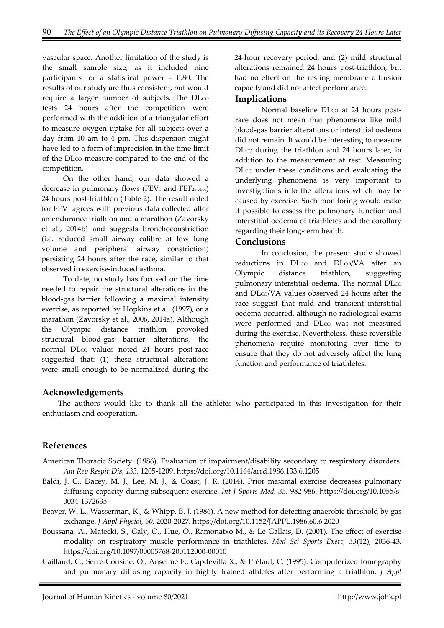vascular space. Another limitation of the study is the small sample size, as it included nine participants for a statistical power = 0.80. The results of our study are thus consistent, but would require a larger number of subjects. The DLco tests 24 hours after the competition were performed with the addition of a triangular effort to measure oxygen uptake for all subjects over a day from 10 am to 4 pm. This dispersion might have led to a form of imprecision in the time limit of the DLco measure compared to the end of the competition.

On the other hand, our data showed a decrease in pulmonary flows (FEV1 and FEF25-75%) 24 hours post-triathlon (Table 2). The result noted for FEV1 agrees with previous data collected after an endurance triathlon and a marathon (Zavorsky et al., 2014b) and suggests bronchoconstriction (i.e. reduced small airway calibre at low lung volume and peripheral airway constriction) persisting 24 hours after the race, similar to that observed in exercise-induced asthma.

To date, no study has focused on the time needed to repair the structural alterations in the blood-gas barrier following a maximal intensity exercise, as reported by Hopkins et al. (1997), or a marathon (Zavorsky et al., 2006, 2014a). Although the Olympic distance triathlon provoked structural blood-gas barrier alterations, the normal DLco values noted 24 hours post-race suggested that: (1) these structural alterations were small enough to be normalized during the

24-hour recovery period, and (2) mild structural alterations remained 24 hours post-triathlon, but had no effect on the resting membrane diffusion capacity and did not affect performance.

#### **Implications**

Normal baseline DLco at 24 hours postrace does not mean that phenomena like mild blood-gas barrier alterations or interstitial oedema did not remain. It would be interesting to measure DL<sub>co</sub> during the triathlon and 24 hours later, in addition to the measurement at rest. Measuring DLCO under these conditions and evaluating the underlying phenomena is very important to investigations into the alterations which may be caused by exercise. Such monitoring would make it possible to assess the pulmonary function and interstitial oedema of triathletes and the corollary regarding their long-term health.

#### **Conclusions**

In conclusion, the present study showed reductions in DLco and DLco/VA after an Olympic distance triathlon, suggesting pulmonary interstitial oedema. The normal DLco and DLco/VA values observed 24 hours after the race suggest that mild and transient interstitial oedema occurred, although no radiological exams were performed and DLco was not measured during the exercise. Nevertheless, these reversible phenomena require monitoring over time to ensure that they do not adversely affect the lung function and performance of triathletes.

#### **Acknowledgements**

The authors would like to thank all the athletes who participated in this investigation for their enthusiasm and cooperation.

#### **References**

- American Thoracic Society. (1986). Evaluation of impairment/disability secondary to respiratory disorders. *Am Rev Respir Dis*, *133,* 1205-1209. https://doi.org/10.1164/arrd.1986.133.6.1205
- Baldi, J. C., Dacey, M. J., Lee, M. J., & Coast, J. R. (2014). Prior maximal exercise decreases pulmonary diffusing capacity during subsequent exercise. *Int J Sports Med, 35,* 982-986. https://doi.org/10.1055/s-0034-1372635
- Beaver, W. L., Wasserman, K., & Whipp, B. J. (1986). A new method for detecting anaerobic threshold by gas exchange. *J Appl Physiol, 60,* 2020-2027. https://doi.org/10.1152/JAPPL.1986.60.6.2020
- Boussana, A., Matecki, S., Galy, O., Hue, O., Ramonatxo M., & Le Gallais, D. (2001). The effect of exercise modality on respiratory muscle performance in triathletes. *Med Sci Sports Exerc, 33*(12)*,* 2036-43. https://doi.org/10.1097/00005768-200112000-00010
- Caillaud, C., Serre-Cousine, O., Anselme F., Capdevilla X., & Préfaut, C. (1995). Computerized tomography and pulmonary diffusing capacity in highly trained athletes after performing a triathlon. *J Appl*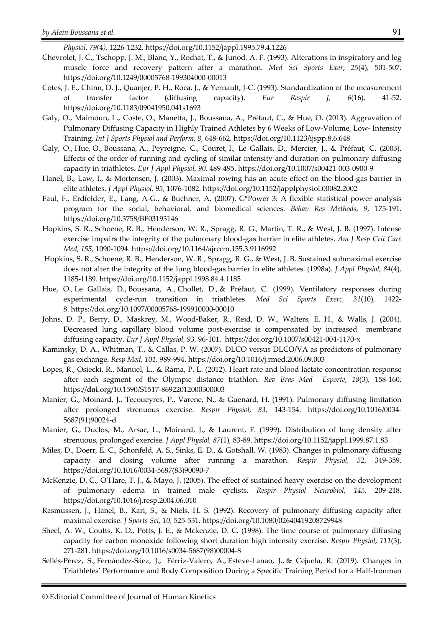*Physiol, 79(*4*),* 1226-1232. https://doi.org/10.1152/jappl.1995.79.4.1226

- Chevrolet, J. C., Tschopp, J. M., Blanc, Y., Rochat, T., & Junod, A. F. (1993). Alterations in inspiratory and leg muscle force and recovery pattern after a marathon. *Med Sci Sports Exer*, *25*(4)*,* 501-507. https://doi.org/10.1249/00005768-199304000-00013
- Cotes, J. E., Chinn, D. J., Quanjer, P. H., Roca, J., & Yernault, J-C. (1993). Standardization of the measurement of transfer factor (diffusing capacity). *Eur Respir J, 6*(16)*,* 41-52. https://doi.org/10.1183/09041950.041s1693
- Galy, O., Maimoun, L., Coste, O., Manetta, J., Boussana, A., Préfaut, C., & Hue, O. (2013). Aggravation of Pulmonary Diffusing Capacity in Highly Trained Athletes by 6 Weeks of Low-Volume, Low- Intensity Training. *Int J Sports Physiol and Perform, 8,* 648-662. https://doi.org/10.1123/ijspp.8.6.648
- Galy, O., Hue, O., Boussana, A., Peyreigne, C., Couret, I., Le Gallais, D., Mercier, J., & Préfaut, C. (2003). Effects of the order of running and cycling of similar intensity and duration on pulmonary diffusing capacity in triathletes. *Eur J Appl Physiol, 90,* 489-495. https://doi.org/10.1007/s00421-003-0900-9
- Hanel, B., Law, I., & Mortensen, J. (2003). Maximal rowing has an acute effect on the blood-gas barrier in elite athletes. *J Appl Physiol, 95,* 1076-1082. https://doi.org/10.1152/japplphysiol.00082.2002
- Faul, F., Erdfelder, E., Lang, A-G., & Buchner, A. (2007). G\*Power 3: A flexible statistical power analysis program for the social, behavioral, and biomedical sciences. *Behav Res Methods, 9,* 175-191. https://doi.org/10.3758/BF03193146
- Hopkins, S. R., Schoene, R. B., Henderson, W. R., Spragg, R. G., Martin, T. R., & West, J. B. (1997). Intense exercise impairs the integrity of the pulmonary blood-gas barrier in elite athletes. *Am J Resp Crit Care Med, 155,* 1090-1094. https://doi.org/10.1164/ajrccm.155.3.9116992
- Hopkins, S. R., Schoene, R. B., Henderson, W. R., Spragg, R. G., & West, J. B. Sustained submaximal exercise does not alter the integrity of the lung blood-gas barrier in elite athletes. (1998a). *J Appl Physiol, 84*(4)*,* 1185-1189. https://doi.org/10.1152/jappl.1998.84.4.1185
- Hue, O., Le Gallais, D., Boussana, A., Chollet, D., & Préfaut, C. (1999). Ventilatory responses during experimental cycle-run transition in triathletes. *Med Sci Sports Exerc, 31*(10)*,* 1422- 8. https://doi.org/10.1097/00005768-199910000-00010
- Johns, D. P., Berry, D., Maskrey, M., Wood-Baker, R., Reid, D. W., Walters, E. H., & Walls, J. (2004). Decreased lung capillary blood volume post-exercise is compensated by increased membrane diffusing capacity. *Eur J Appl Physiol, 93,* 96-101. https://doi.org/10.1007/s00421-004-1170-x
- Kaminsky, D. A., Whitman, T., & Callas, P. W. (2007). DLCO versus DLCO/VA as predictors of pulmonary gas exchange. *Resp Med, 101,* 989-994. https://doi.org/10.1016/j.rmed.2006.09.003
- Lopes, R., Osiecki, R., Manuel, L., & Rama, P. L. (2012). Heart rate and blood lactate concentration response after each segment of the Olympic distance triathlon. *Rev Bras Med Esporte, 18*(3)*,* 158-160. https://**doi**.org/10.1590/S1517-86922012000300003
- Manier, G., Moinard, J., Tecoueyres, P., Varene, N., & Guenard, H. (1991). Pulmonary diffusing limitation after prolonged strenuous exercise. *Respir Physiol, 83,* 143-154. https://doi.org/10.1016/0034- 5687(91)90024-d
- Manier, G., Duclos, M., Arsac, L., Moinard, J., & Laurent, F. (1999). Distribution of lung density after strenuous, prolonged exercise. *J Appl Physiol, 87*(1)*,* 83-89. https://doi.org/10.1152/jappl.1999.87.1.83
- Miles, D., Doerr, E. C., Schonfeld, A. S., Sinks, E. D., & Gotshall, W. (1983). Changes in pulmonary diffusing capacity and closing volume after running a marathon. *Respir Physiol, 52,* 349-359. https://doi.org/10.1016/0034-5687(83)90090-7
- McKenzie, D. C., O'Hare, T. J., & Mayo, J. (2005). The effect of sustained heavy exercise on the development of pulmonary edema in trained male cyclists. *Respir Physiol Neurobiol, 145,* 209-218. https://doi.org/10.1016/j.resp.2004.06.010
- Rasmussen, J., Hanel, B., Kari, S., & Niels, H. S. (1992). Recovery of pulmonary diffusing capacity after maximal exercise. *J Sports Sci, 10,* 525-531. https://doi.org/10.1080/02640419208729948
- Sheel, A. W., Coutts, K. D., Potts, J. E., & Mckenzie, D. C. (1998). The time course of pulmonary diffusing capacity for carbon monoxide following short duration high intensity exercise. *Respir Physiol*, *111*(3)*,* 271-281. https://doi.org/10.1016/s0034-5687(98)00004-8
- Sellés-Pérez, S., Fernández-Sáez, J., Férriz-Valero, A., Esteve-Lanao, J., & Cejuela, R. (2019). Changes in Triathletes' Performance and Body Composition During a Specific Training Period for a Half-Ironman